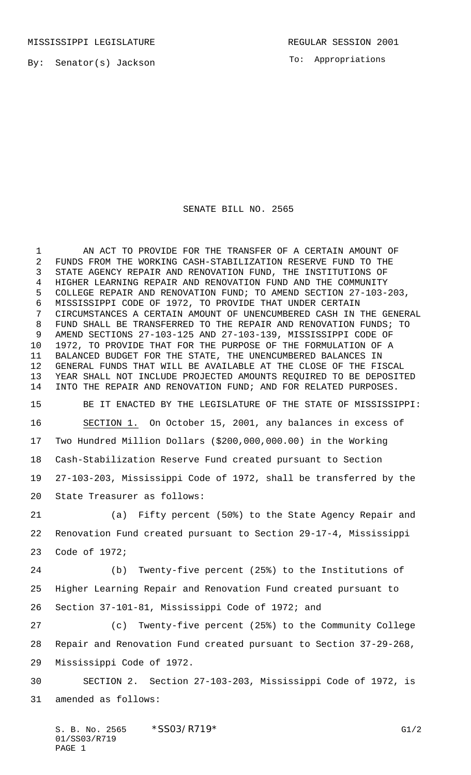To: Appropriations

## SENATE BILL NO. 2565

 AN ACT TO PROVIDE FOR THE TRANSFER OF A CERTAIN AMOUNT OF FUNDS FROM THE WORKING CASH-STABILIZATION RESERVE FUND TO THE STATE AGENCY REPAIR AND RENOVATION FUND, THE INSTITUTIONS OF HIGHER LEARNING REPAIR AND RENOVATION FUND AND THE COMMUNITY COLLEGE REPAIR AND RENOVATION FUND; TO AMEND SECTION 27-103-203, MISSISSIPPI CODE OF 1972, TO PROVIDE THAT UNDER CERTAIN CIRCUMSTANCES A CERTAIN AMOUNT OF UNENCUMBERED CASH IN THE GENERAL FUND SHALL BE TRANSFERRED TO THE REPAIR AND RENOVATION FUNDS; TO AMEND SECTIONS 27-103-125 AND 27-103-139, MISSISSIPPI CODE OF 1972, TO PROVIDE THAT FOR THE PURPOSE OF THE FORMULATION OF A BALANCED BUDGET FOR THE STATE, THE UNENCUMBERED BALANCES IN GENERAL FUNDS THAT WILL BE AVAILABLE AT THE CLOSE OF THE FISCAL YEAR SHALL NOT INCLUDE PROJECTED AMOUNTS REQUIRED TO BE DEPOSITED INTO THE REPAIR AND RENOVATION FUND; AND FOR RELATED PURPOSES. BE IT ENACTED BY THE LEGISLATURE OF THE STATE OF MISSISSIPPI: SECTION 1. On October 15, 2001, any balances in excess of Two Hundred Million Dollars (\$200,000,000.00) in the Working Cash-Stabilization Reserve Fund created pursuant to Section 27-103-203, Mississippi Code of 1972, shall be transferred by the State Treasurer as follows: (a) Fifty percent (50%) to the State Agency Repair and Renovation Fund created pursuant to Section 29-17-4, Mississippi Code of 1972; (b) Twenty-five percent (25%) to the Institutions of Higher Learning Repair and Renovation Fund created pursuant to Section 37-101-81, Mississippi Code of 1972; and (c) Twenty-five percent (25%) to the Community College Repair and Renovation Fund created pursuant to Section 37-29-268, Mississippi Code of 1972. SECTION 2. Section 27-103-203, Mississippi Code of 1972, is amended as follows:

S. B. No. 2565 \* SSO3/R719\* G1/2 01/SS03/R719 PAGE 1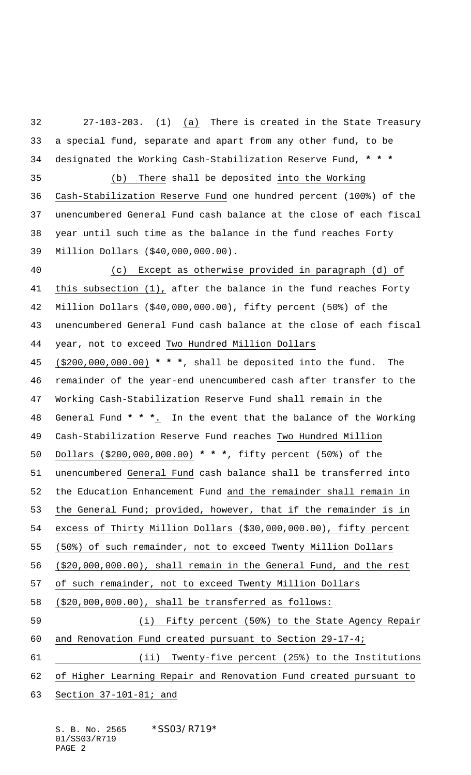27-103-203. (1) (a) There is created in the State Treasury a special fund, separate and apart from any other fund, to be designated the Working Cash-Stabilization Reserve Fund, **\* \* \*** (b) There shall be deposited into the Working Cash-Stabilization Reserve Fund one hundred percent (100%) of the unencumbered General Fund cash balance at the close of each fiscal year until such time as the balance in the fund reaches Forty Million Dollars (\$40,000,000.00). (c) Except as otherwise provided in paragraph (d) of this subsection (1), after the balance in the fund reaches Forty Million Dollars (\$40,000,000.00), fifty percent (50%) of the unencumbered General Fund cash balance at the close of each fiscal year, not to exceed Two Hundred Million Dollars (\$200,000,000.00) **\* \* \***, shall be deposited into the fund. The remainder of the year-end unencumbered cash after transfer to the Working Cash-Stabilization Reserve Fund shall remain in the General Fund **\* \* \***. In the event that the balance of the Working Cash-Stabilization Reserve Fund reaches Two Hundred Million Dollars (\$200,000,000.00) **\* \* \***, fifty percent (50%) of the unencumbered General Fund cash balance shall be transferred into the Education Enhancement Fund and the remainder shall remain in the General Fund; provided, however, that if the remainder is in excess of Thirty Million Dollars (\$30,000,000.00), fifty percent (50%) of such remainder, not to exceed Twenty Million Dollars (\$20,000,000.00), shall remain in the General Fund, and the rest of such remainder, not to exceed Twenty Million Dollars (\$20,000,000.00), shall be transferred as follows: (i) Fifty percent (50%) to the State Agency Repair and Renovation Fund created pursuant to Section 29-17-4; 61 (ii) Twenty-five percent (25%) to the Institutions of Higher Learning Repair and Renovation Fund created pursuant to Section 37-101-81; and

S. B. No. 2565 \* SS03/R719\* 01/SS03/R719 PAGE 2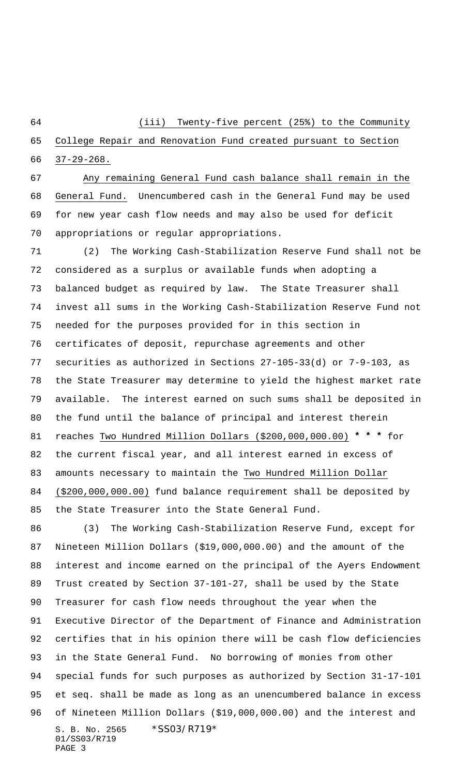(iii) Twenty-five percent (25%) to the Community

 College Repair and Renovation Fund created pursuant to Section 37-29-268.

 Any remaining General Fund cash balance shall remain in the General Fund. Unencumbered cash in the General Fund may be used for new year cash flow needs and may also be used for deficit appropriations or regular appropriations.

 (2) The Working Cash-Stabilization Reserve Fund shall not be considered as a surplus or available funds when adopting a balanced budget as required by law. The State Treasurer shall invest all sums in the Working Cash-Stabilization Reserve Fund not needed for the purposes provided for in this section in certificates of deposit, repurchase agreements and other securities as authorized in Sections 27-105-33(d) or 7-9-103, as the State Treasurer may determine to yield the highest market rate available. The interest earned on such sums shall be deposited in the fund until the balance of principal and interest therein reaches Two Hundred Million Dollars (\$200,000,000.00) **\* \* \*** for the current fiscal year, and all interest earned in excess of amounts necessary to maintain the Two Hundred Million Dollar (\$200,000,000.00) fund balance requirement shall be deposited by the State Treasurer into the State General Fund.

S. B. No. 2565 \* SS03/R719\* 01/SS03/R719 PAGE 3 (3) The Working Cash-Stabilization Reserve Fund, except for Nineteen Million Dollars (\$19,000,000.00) and the amount of the interest and income earned on the principal of the Ayers Endowment Trust created by Section 37-101-27, shall be used by the State Treasurer for cash flow needs throughout the year when the Executive Director of the Department of Finance and Administration certifies that in his opinion there will be cash flow deficiencies in the State General Fund. No borrowing of monies from other special funds for such purposes as authorized by Section 31-17-101 et seq. shall be made as long as an unencumbered balance in excess of Nineteen Million Dollars (\$19,000,000.00) and the interest and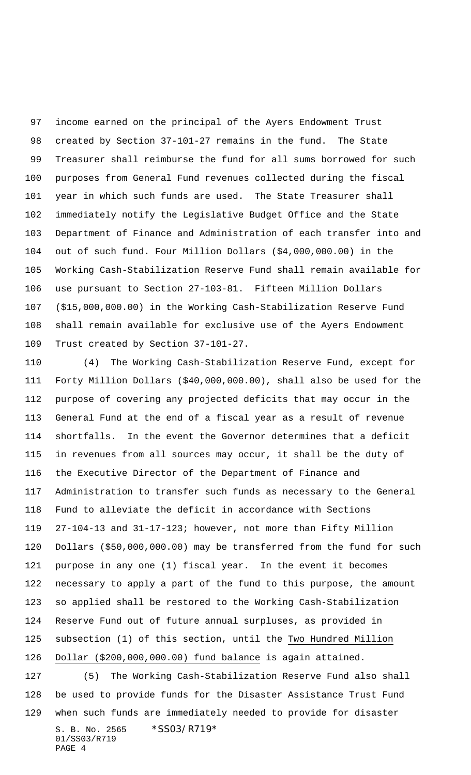income earned on the principal of the Ayers Endowment Trust created by Section 37-101-27 remains in the fund. The State Treasurer shall reimburse the fund for all sums borrowed for such purposes from General Fund revenues collected during the fiscal year in which such funds are used. The State Treasurer shall immediately notify the Legislative Budget Office and the State Department of Finance and Administration of each transfer into and out of such fund. Four Million Dollars (\$4,000,000.00) in the Working Cash-Stabilization Reserve Fund shall remain available for use pursuant to Section 27-103-81. Fifteen Million Dollars (\$15,000,000.00) in the Working Cash-Stabilization Reserve Fund shall remain available for exclusive use of the Ayers Endowment Trust created by Section 37-101-27.

 (4) The Working Cash-Stabilization Reserve Fund, except for Forty Million Dollars (\$40,000,000.00), shall also be used for the purpose of covering any projected deficits that may occur in the General Fund at the end of a fiscal year as a result of revenue shortfalls. In the event the Governor determines that a deficit in revenues from all sources may occur, it shall be the duty of the Executive Director of the Department of Finance and Administration to transfer such funds as necessary to the General Fund to alleviate the deficit in accordance with Sections 27-104-13 and 31-17-123; however, not more than Fifty Million Dollars (\$50,000,000.00) may be transferred from the fund for such purpose in any one (1) fiscal year. In the event it becomes necessary to apply a part of the fund to this purpose, the amount so applied shall be restored to the Working Cash-Stabilization Reserve Fund out of future annual surpluses, as provided in subsection (1) of this section, until the Two Hundred Million Dollar (\$200,000,000.00) fund balance is again attained. (5) The Working Cash-Stabilization Reserve Fund also shall be used to provide funds for the Disaster Assistance Trust Fund

S. B. No. 2565 \* SS03/R719\* 01/SS03/R719 when such funds are immediately needed to provide for disaster

```
PAGE 4
```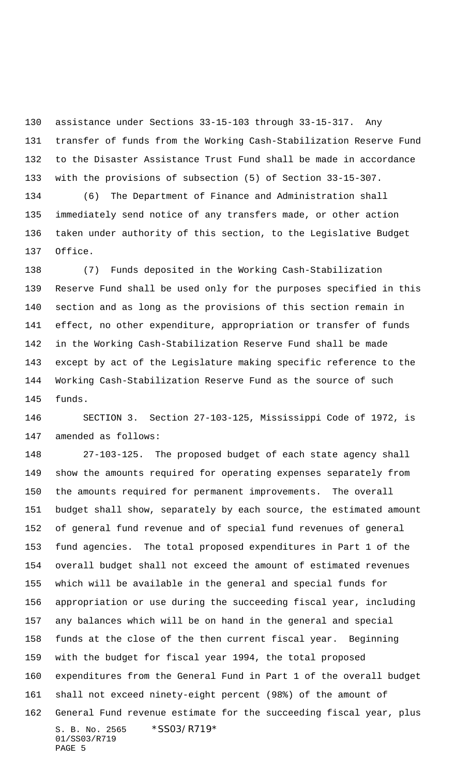assistance under Sections 33-15-103 through 33-15-317. Any transfer of funds from the Working Cash-Stabilization Reserve Fund to the Disaster Assistance Trust Fund shall be made in accordance with the provisions of subsection (5) of Section 33-15-307.

 (6) The Department of Finance and Administration shall immediately send notice of any transfers made, or other action taken under authority of this section, to the Legislative Budget Office.

 (7) Funds deposited in the Working Cash-Stabilization Reserve Fund shall be used only for the purposes specified in this section and as long as the provisions of this section remain in effect, no other expenditure, appropriation or transfer of funds in the Working Cash-Stabilization Reserve Fund shall be made except by act of the Legislature making specific reference to the Working Cash-Stabilization Reserve Fund as the source of such funds.

 SECTION 3. Section 27-103-125, Mississippi Code of 1972, is amended as follows:

S. B. No. 2565 \* SS03/R719\* 01/SS03/R719 PAGE 5 27-103-125. The proposed budget of each state agency shall show the amounts required for operating expenses separately from the amounts required for permanent improvements. The overall budget shall show, separately by each source, the estimated amount of general fund revenue and of special fund revenues of general fund agencies. The total proposed expenditures in Part 1 of the overall budget shall not exceed the amount of estimated revenues which will be available in the general and special funds for appropriation or use during the succeeding fiscal year, including any balances which will be on hand in the general and special funds at the close of the then current fiscal year. Beginning with the budget for fiscal year 1994, the total proposed expenditures from the General Fund in Part 1 of the overall budget shall not exceed ninety-eight percent (98%) of the amount of General Fund revenue estimate for the succeeding fiscal year, plus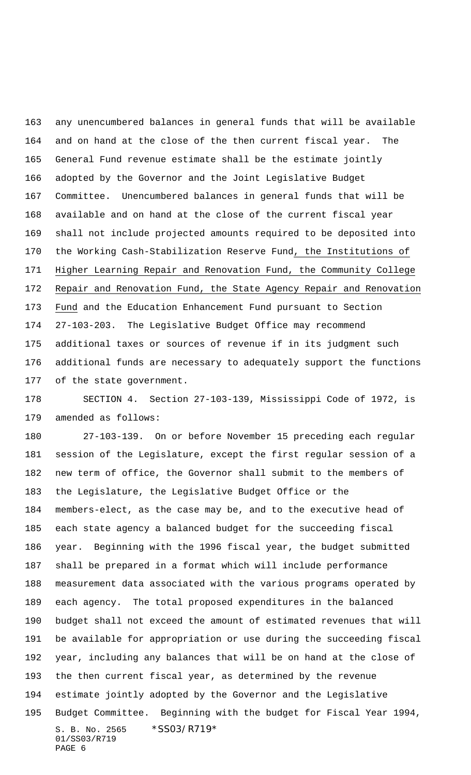any unencumbered balances in general funds that will be available and on hand at the close of the then current fiscal year. The General Fund revenue estimate shall be the estimate jointly adopted by the Governor and the Joint Legislative Budget Committee. Unencumbered balances in general funds that will be available and on hand at the close of the current fiscal year shall not include projected amounts required to be deposited into the Working Cash-Stabilization Reserve Fund, the Institutions of Higher Learning Repair and Renovation Fund, the Community College Repair and Renovation Fund, the State Agency Repair and Renovation Fund and the Education Enhancement Fund pursuant to Section 27-103-203. The Legislative Budget Office may recommend additional taxes or sources of revenue if in its judgment such additional funds are necessary to adequately support the functions of the state government.

 SECTION 4. Section 27-103-139, Mississippi Code of 1972, is amended as follows:

S. B. No. 2565 \* SS03/R719\* 01/SS03/R719 PAGE 6 27-103-139. On or before November 15 preceding each regular session of the Legislature, except the first regular session of a new term of office, the Governor shall submit to the members of the Legislature, the Legislative Budget Office or the members-elect, as the case may be, and to the executive head of each state agency a balanced budget for the succeeding fiscal year. Beginning with the 1996 fiscal year, the budget submitted shall be prepared in a format which will include performance measurement data associated with the various programs operated by each agency. The total proposed expenditures in the balanced budget shall not exceed the amount of estimated revenues that will be available for appropriation or use during the succeeding fiscal year, including any balances that will be on hand at the close of the then current fiscal year, as determined by the revenue estimate jointly adopted by the Governor and the Legislative Budget Committee. Beginning with the budget for Fiscal Year 1994,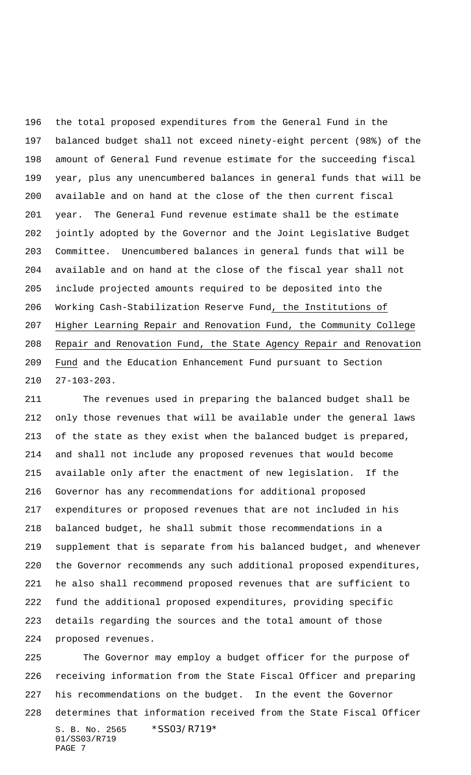the total proposed expenditures from the General Fund in the balanced budget shall not exceed ninety-eight percent (98%) of the amount of General Fund revenue estimate for the succeeding fiscal year, plus any unencumbered balances in general funds that will be available and on hand at the close of the then current fiscal year. The General Fund revenue estimate shall be the estimate jointly adopted by the Governor and the Joint Legislative Budget Committee. Unencumbered balances in general funds that will be available and on hand at the close of the fiscal year shall not include projected amounts required to be deposited into the Working Cash-Stabilization Reserve Fund, the Institutions of Higher Learning Repair and Renovation Fund, the Community College Repair and Renovation Fund, the State Agency Repair and Renovation Fund and the Education Enhancement Fund pursuant to Section 27-103-203.

 The revenues used in preparing the balanced budget shall be only those revenues that will be available under the general laws of the state as they exist when the balanced budget is prepared, and shall not include any proposed revenues that would become available only after the enactment of new legislation. If the Governor has any recommendations for additional proposed expenditures or proposed revenues that are not included in his balanced budget, he shall submit those recommendations in a supplement that is separate from his balanced budget, and whenever the Governor recommends any such additional proposed expenditures, he also shall recommend proposed revenues that are sufficient to fund the additional proposed expenditures, providing specific details regarding the sources and the total amount of those proposed revenues.

S. B. No. 2565 \* SS03/R719\* 01/SS03/R719 PAGE 7 The Governor may employ a budget officer for the purpose of receiving information from the State Fiscal Officer and preparing his recommendations on the budget. In the event the Governor determines that information received from the State Fiscal Officer